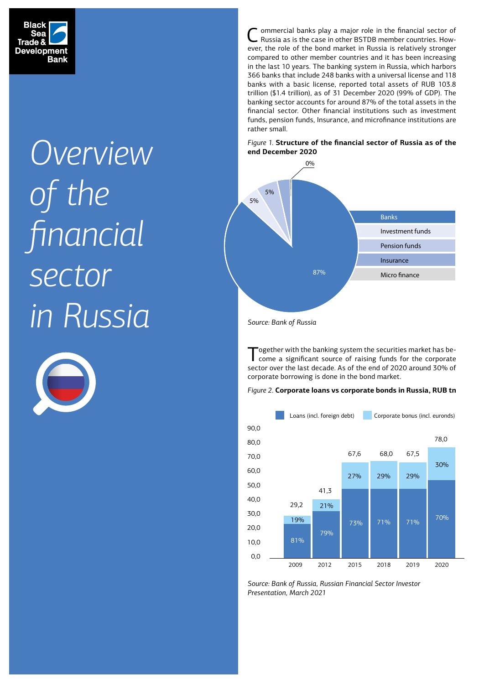

# *Overview of the financial sector in Russia* 5%



Commercial banks play a major role in the financial sector of Russia as is the case in other BSTDB member countries. However, the role of the bond market in Russia is relatively stronger compared to other member countries and it has been increasing in the last 10 years. The banking system in Russia, which harbors 366 banks that include 248 banks with a universal license and 118 banks with a basic license, reported total assets of RUB 103.8 trillion (\$1.4 trillion), as of 31 December 2020 (99% of GDP). The banking sector accounts for around 87% of the total assets in the financial sector. Other financial institutions such as investment funds, pension funds, Insurance, and microfinance institutions are rather small.





*Source: Bank of Russia*

Together with the banking system the securities market has be-come a significant source of raising funds for the corporate sector over the last decade. As of the end of 2020 around 30% of corporate borrowing is done in the bond market.



*Figure 2.* **Corporate loans vs corporate bonds in Russia, RUB tn**

Source: Bank of Russia, Russian Financial Sector Investor *Presentation, March 2021*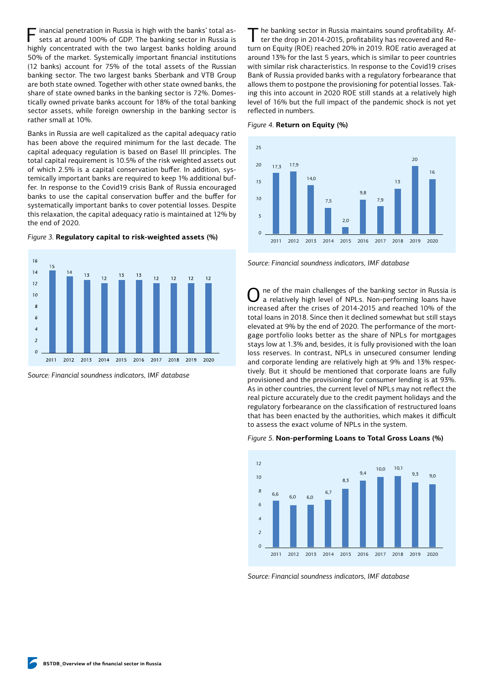Financial penetration in Russia is high with the banks' total assets at around 100% of GDP. The banking sector in Russia is highly concentrated with the two largest banks holding around 50% of the market. Systemically important financial institutions (12 banks) account for 75% of the total assets of the Russian banking sector. The two largest banks Sberbank and VTB Group are both state owned. Together with other state owned banks, the share of state owned banks in the banking sector is 72%. Domestically owned private banks account for 18% of the total banking sector assets, while foreign ownership in the banking sector is rather small at 10%.

Banks in Russia are well capitalized as the capital adequacy ratio has been above the required minimum for the last decade. The capital adequacy regulation is based on Basel III principles. The total capital requirement is 10.5% of the risk weighted assets out of which 2.5% is a capital conservation buffer. In addition, systemically important banks are required to keep 1% additional buffer. In response to the Covid19 crisis Bank of Russia encouraged banks to use the capital conservation buffer and the buffer for systematically important banks to cover potential losses. Despite this relaxation, the capital adequacy ratio is maintained at 12% by the end of 2020.





*Source: Financial soundness indicators, IMF database*

The banking sector in Russia maintains sound profitability. Af-<br>ter the drop in 2014-2015, profitability has recovered and Return on Equity (ROE) reached 20% in 2019. ROE ratio averaged at *8* around 13% for the last 5 years, which is similar to peer countries with similar risk characteristics. In response to the Covid19 crises *6* Bank of Russia provided banks with a regulatory forbearance that *4* allows them to postpone the provisioning for potential losses. Tak-*2* ing this into account in 2020 ROE still stands at a relatively high level of 16% but the full impact of the pandemic shock is not yet reflected in numbers. he banking sector in Russia maintains sound profitability. Af- $2000$  but the run impact of the panueline shoek is in





*Source: Financial soundness indicators, IMF database 4*

One of the main challenges of the banking sector in Russia is a relatively high level of NPLs. Non-performing loans have increased after the crises of 2014-2015 and reached 10% of the total loans in 2018. Since then it declined somewhat but still stays *6* elevated at 9% by the end of 2020. The performance of the mortgage portfolio looks better as the share of NPLs for mortgages *4 25* stays low at 1.3% and, besides, it is fully provisioned with the loan *2* 20 loss reserves. In contrast, NPLs in unsecured consumer lending and corporate lending are relatively high at 9% and 13% respectively. But it should be mentioned that corporate loans are fully provisioned and the provisioning for consumer lending is at 93%. As in other countries, the current level of NPLs may not reflect the real picture accurately due to the credit payment holidays and the regulatory forbearance on the classification of restructured loans that has been enacted by the authorities, which makes it difficult to assess the exact volume of NPLs in the system. *0 10*  $\cdot$ of the main challenges of the banking sector in Ru:  $23$  and dract volume of the  $2$  in the  $3$ ystem. 16

## *Figure 5.* **Non-performing Loans to Total Gross Loans (%)**



*Source: Financial soundness indicators, IMF database*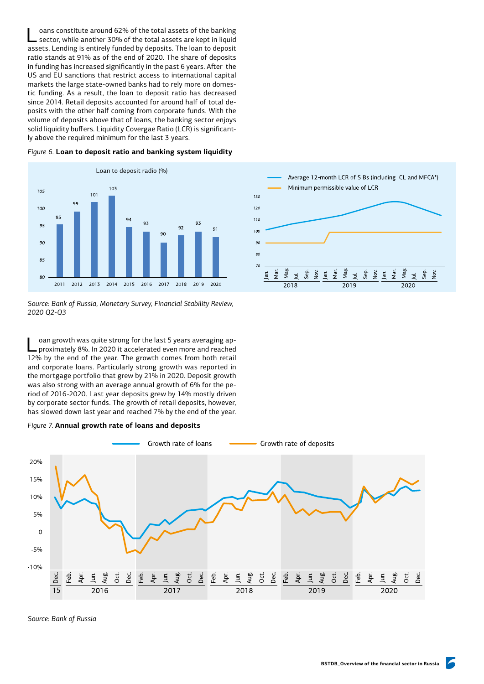oans constitute around 62% of the total assets of the banking sector, while another 30% of the total assets are kept in liquid assets. Lending is entirely funded by deposits. The loan to deposit ratio stands at 91% as of the end of 2020. The share of deposits in funding has increased significantly in the past 6 years. After the US and EU sanctions that restrict access to international capital markets the large state-owned banks had to rely more on domestic funding. As a result, the loan to deposit ratio has decreased since 2014. Retail deposits accounted for around half of total deposits with the other half coming from corporate funds. With the volume of deposits above that of loans, the banking sector enjoys solid liquidity buffers. Liquidity Covergae Ratio (LCR) is significantly above the required minimum for the last 3 years.



*Source: Bank of Russia, Monetary Survey, Financial Stability Review, 2020 Q2-Q3*

oan growth was quite strong for the last 5 years averaging approximately 8%. In 2020 it accelerated even more and reached 12% by the end of the year. The growth comes from both retail and corporate loans. Particularly strong growth was reported in the mortgage portfolio that grew by 21% in 2020. Deposit growth was also strong with an average annual growth of 6% for the period of 2016-2020. Last year deposits grew by 14% mostly driven by corporate sector funds. The growth of retail deposits, however, has slowed down last year and reached 7% by the end of the year.





*Source: Bank of Russia*